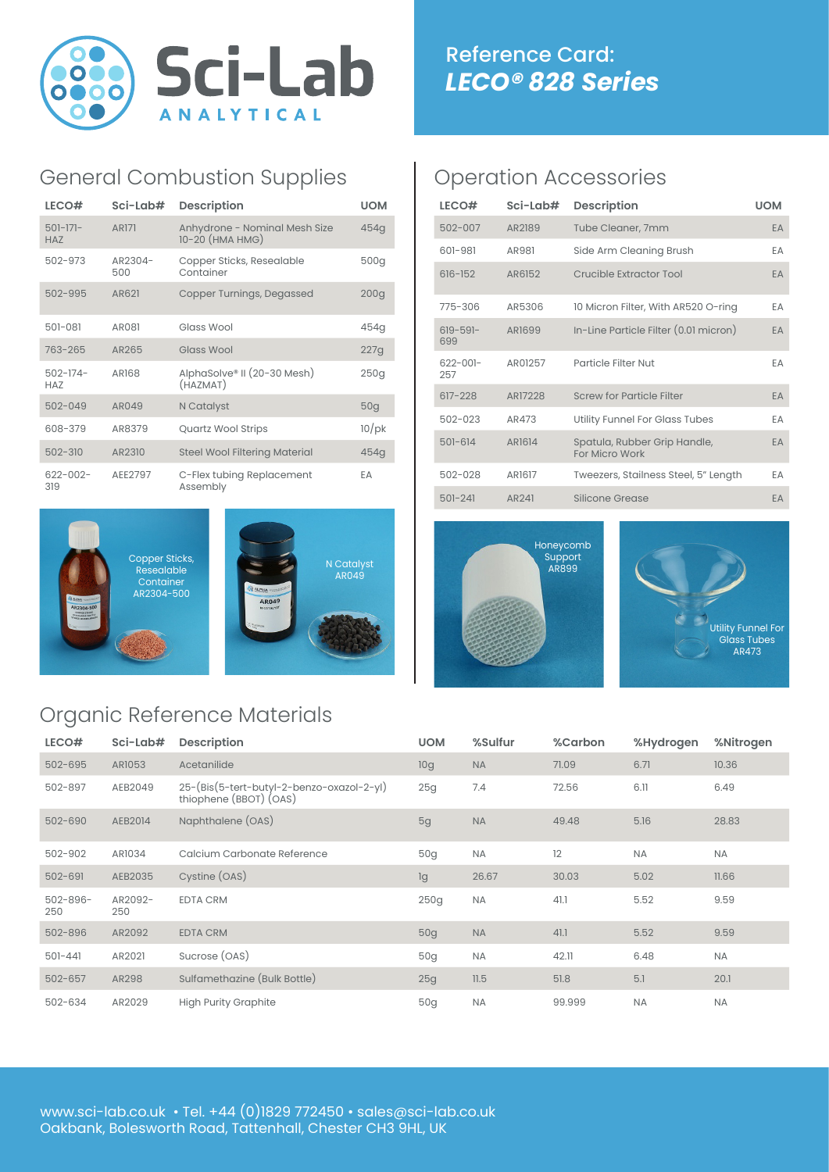

## General Combustion Supplies

| LECO#                       | Sci-Lab#       | <b>Description</b>                               | <b>UOM</b>       |
|-----------------------------|----------------|--------------------------------------------------|------------------|
| $501-171-$<br><b>HAZ</b>    | <b>AR171</b>   | Anhydrone - Nominal Mesh Size<br>10-20 (HMA HMG) | 454q             |
| 502-973                     | AR2304-<br>500 | Copper Sticks, Resealable<br>Container           | 500g             |
| 502-995                     | AR621          | Copper Turnings, Degassed                        | 200 <sub>q</sub> |
| 501-081                     | AR081          | Glass Wool                                       | 454q             |
| 763-265                     | AR265          | Glass Wool                                       | 227q             |
| $502 - 174 -$<br><b>HAZ</b> | <b>AR168</b>   | AlphaSolve® II (20-30 Mesh)<br>(HAZMAT)          | 250g             |
| $502 - 049$                 | AR049          | N Catalyst                                       | 50 <sub>q</sub>  |
| 608-379                     | AR8379         | <b>Quartz Wool Strips</b>                        | $10$ /pk         |
| $502 - 310$                 | AR2310         | <b>Steel Wool Filtering Material</b>             | 454g             |
| $622 - 002 -$<br>319        | AEE2797        | C-Flex tubing Replacement<br>Assembly            | EΑ               |



# Organic Reference Materials

### Operation Accessories

| LECO#                | Sci-Lab#      | <b>Description</b>                             | <b>UOM</b> |
|----------------------|---------------|------------------------------------------------|------------|
| $502 - 007$          | AR2189        | Tube Cleaner, 7mm                              | EA         |
| 601-981              | AR981         | Side Arm Cleaning Brush                        | EA         |
| $616 - 152$          | AR6152        | Crucible Extractor Tool                        | EA         |
| 775-306              | AR5306        | 10 Micron Filter, With AR520 O-ring            | EA         |
| $619 - 591 -$<br>699 | AR1699        | In-Line Particle Filter (0.01 micron)          | EA         |
| $622 - 001 -$<br>257 | AR01257       | Particle Filter Nut                            | EA         |
| $617 - 228$          | AR17228       | <b>Screw for Particle Filter</b>               | EA         |
| $502 - 023$          | AR473         | Utility Funnel For Glass Tubes                 | EA         |
| $501 - 614$          | AR1614        | Spatula, Rubber Grip Handle,<br>For Micro Work | EA         |
| $502 - 028$          | <b>AR1617</b> | Tweezers, Stailness Steel, 5" Length           | EA         |
| $501 - 241$          | AR241         | Silicone Grease                                | EA         |





| LECO#                | Sci-Lab#       | <b>Description</b>                                                  | <b>UOM</b>      | %Sulfur   | %Carbon | %Hydrogen | %Nitrogen |
|----------------------|----------------|---------------------------------------------------------------------|-----------------|-----------|---------|-----------|-----------|
| 502-695              | AR1053         | Acetanilide                                                         | 10g             | <b>NA</b> | 71.09   | 6.71      | 10.36     |
| 502-897              | AEB2049        | 25-(Bis(5-tert-butyl-2-benzo-oxazol-2-yl)<br>thiophene (BBOT) (OAS) | 25g             | 7.4       | 72.56   | 6.11      | 6.49      |
| 502-690              | AEB2014        | Naphthalene (OAS)                                                   | 5g              | <b>NA</b> | 49.48   | 5.16      | 28.83     |
| 502-902              | AR1034         | Calcium Carbonate Reference                                         | 50q             | <b>NA</b> | 12      | NA        | NA        |
| $502 - 691$          | AEB2035        | Cystine (OAS)                                                       | lg              | 26.67     | 30.03   | 5.02      | 11.66     |
| $502 - 896 -$<br>250 | AR2092-<br>250 | <b>EDTA CRM</b>                                                     | 250g            | <b>NA</b> | 41.1    | 5.52      | 9.59      |
| 502-896              | AR2092         | <b>EDTA CRM</b>                                                     | 50 <sub>q</sub> | <b>NA</b> | 41.1    | 5.52      | 9.59      |
| $501 - 441$          | AR2021         | Sucrose (OAS)                                                       | 50g             | <b>NA</b> | 42.11   | 6.48      | <b>NA</b> |
| $502 - 657$          | AR298          | Sulfamethazine (Bulk Bottle)                                        | 25g             | 11.5      | 51.8    | 5.1       | 20.1      |
| 502-634              | AR2029         | <b>High Purity Graphite</b>                                         | 50 <sub>q</sub> | <b>NA</b> | 99.999  | <b>NA</b> | <b>NA</b> |